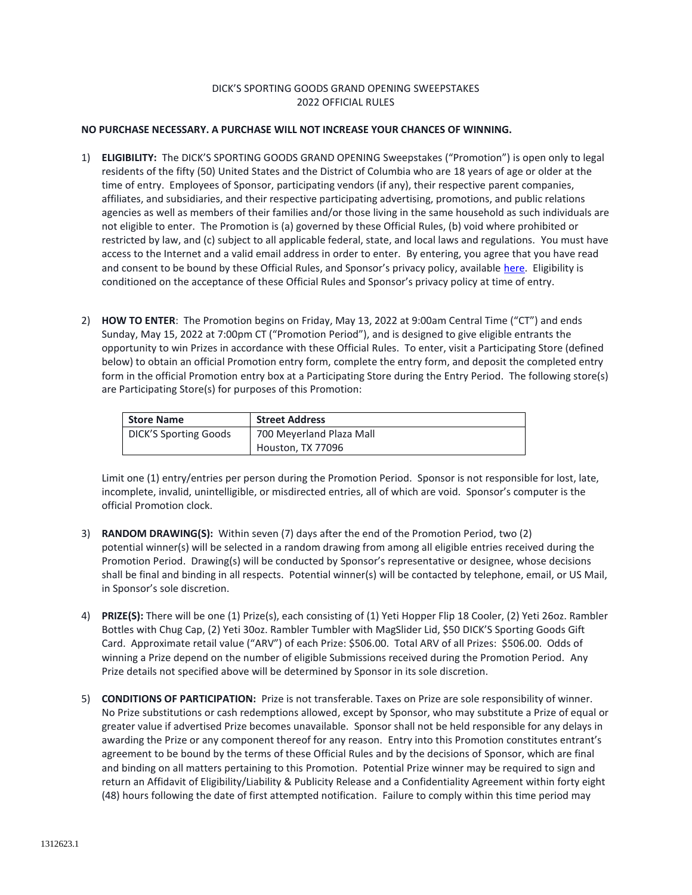## DICK'S SPORTING GOODS GRAND OPENING SWEEPSTAKES 2022 OFFICIAL RULES

## **NO PURCHASE NECESSARY. A PURCHASE WILL NOT INCREASE YOUR CHANCES OF WINNING.**

- 1) **ELIGIBILITY:** The DICK'S SPORTING GOODS GRAND OPENING Sweepstakes ("Promotion") is open only to legal residents of the fifty (50) United States and the District of Columbia who are 18 years of age or older at the time of entry. Employees of Sponsor, participating vendors (if any), their respective parent companies, affiliates, and subsidiaries, and their respective participating advertising, promotions, and public relations agencies as well as members of their families and/or those living in the same household as such individuals are not eligible to enter. The Promotion is (a) governed by these Official Rules, (b) void where prohibited or restricted by law, and (c) subject to all applicable federal, state, and local laws and regulations. You must have access to the Internet and a valid email address in order to enter. By entering, you agree that you have read and consent to be bound by these Official Rules, and Sponsor's privacy policy, available [here.](https://www.dickssportinggoods.com/s/privacy-policy) Eligibility is conditioned on the acceptance of these Official Rules and Sponsor's privacy policy at time of entry.
- 2) **HOW TO ENTER**: The Promotion begins on Friday, May 13, 2022 at 9:00am Central Time ("CT") and ends Sunday, May 15, 2022 at 7:00pm CT ("Promotion Period"), and is designed to give eligible entrants the opportunity to win Prizes in accordance with these Official Rules. To enter, visit a Participating Store (defined below) to obtain an official Promotion entry form, complete the entry form, and deposit the completed entry form in the official Promotion entry box at a Participating Store during the Entry Period. The following store(s) are Participating Store(s) for purposes of this Promotion:

| <b>Store Name</b>            | <b>Street Address</b>    |
|------------------------------|--------------------------|
| <b>DICK'S Sporting Goods</b> | 700 Meyerland Plaza Mall |
|                              | Houston, TX 77096        |

Limit one (1) entry/entries per person during the Promotion Period. Sponsor is not responsible for lost, late, incomplete, invalid, unintelligible, or misdirected entries, all of which are void. Sponsor's computer is the official Promotion clock.

- 3) **RANDOM DRAWING(S):** Within seven (7) days after the end of the Promotion Period, two (2) potential winner(s) will be selected in a random drawing from among all eligible entries received during the Promotion Period. Drawing(s) will be conducted by Sponsor's representative or designee, whose decisions shall be final and binding in all respects. Potential winner(s) will be contacted by telephone, email, or US Mail, in Sponsor's sole discretion.
- 4) **PRIZE(S):** There will be one (1) Prize(s), each consisting of (1) Yeti Hopper Flip 18 Cooler, (2) Yeti 26oz. Rambler Bottles with Chug Cap, (2) Yeti 30oz. Rambler Tumbler with MagSlider Lid, \$50 DICK'S Sporting Goods Gift Card. Approximate retail value ("ARV") of each Prize: \$506.00. Total ARV of all Prizes: \$506.00. Odds of winning a Prize depend on the number of eligible Submissions received during the Promotion Period. Any Prize details not specified above will be determined by Sponsor in its sole discretion.
- 5) **CONDITIONS OF PARTICIPATION:** Prize is not transferable. Taxes on Prize are sole responsibility of winner. No Prize substitutions or cash redemptions allowed, except by Sponsor, who may substitute a Prize of equal or greater value if advertised Prize becomes unavailable. Sponsor shall not be held responsible for any delays in awarding the Prize or any component thereof for any reason. Entry into this Promotion constitutes entrant's agreement to be bound by the terms of these Official Rules and by the decisions of Sponsor, which are final and binding on all matters pertaining to this Promotion. Potential Prize winner may be required to sign and return an Affidavit of Eligibility/Liability & Publicity Release and a Confidentiality Agreement within forty eight (48) hours following the date of first attempted notification. Failure to comply within this time period may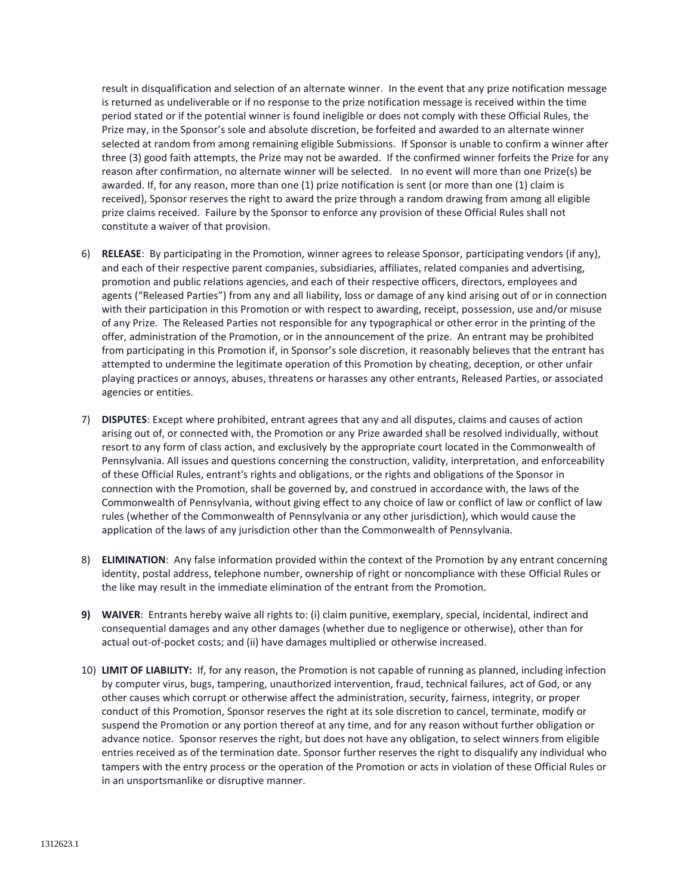result in disqualification and selection of an alternate winner. In the event that any prize notification message is returned as undeliverable or if no response to the prize notification message is received within the time period stated or if the potential winner is found ineligible or does not comply with these Official Rules, the Prize may, in the Sponsor's sole and absolute discretion, be forfeited and awarded to an alternate winner selected at random from among remaining eligible Submissions. If Sponsor is unable to confirm a winner after three (3) good faith attempts, the Prize may not be awarded. If the confirmed winner forfeits the Prize for any reason after confirmation, no alternate winner will be selected. In no event will more than one Prize(s) be awarded. If, for any reason, more than one (1) prize notification is sent (or more than one (1) claim is received), Sponsor reserves the right to award the prize through a random drawing from among all eligible prize claims received. Failure by the Sponsor to enforce any provision of these Official Rules shall not constitute a waiver of that provision.

- 6) **RELEASE**: By participating in the Promotion, winner agrees to release Sponsor, participating vendors (if any), and each of their respective parent companies, subsidiaries, affiliates, related companies and advertising, promotion and public relations agencies, and each of their respective officers, directors, employees and agents ("Released Parties") from any and all liability, loss or damage of any kind arising out of or in connection with their participation in this Promotion or with respect to awarding, receipt, possession, use and/or misuse of any Prize. The Released Parties not responsible for any typographical or other error in the printing of the offer, administration of the Promotion, or in the announcement of the prize. An entrant may be prohibited from participating in this Promotion if, in Sponsor's sole discretion, it reasonably believes that the entrant has attempted to undermine the legitimate operation of this Promotion by cheating, deception, or other unfair playing practices or annoys, abuses, threatens or harasses any other entrants, Released Parties, or associated agencies or entities.
- 7) **DISPUTES**: Except where prohibited, entrant agrees that any and all disputes, claims and causes of action arising out of, or connected with, the Promotion or any Prize awarded shall be resolved individually, without resort to any form of class action, and exclusively by the appropriate court located in the Commonwealth of Pennsylvania. All issues and questions concerning the construction, validity, interpretation, and enforceability of these Official Rules, entrant's rights and obligations, or the rights and obligations of the Sponsor in connection with the Promotion, shall be governed by, and construed in accordance with, the laws of the Commonwealth of Pennsylvania, without giving effect to any choice of law or conflict of law or conflict of law rules (whether of the Commonwealth of Pennsylvania or any other jurisdiction), which would cause the application of the laws of any jurisdiction other than the Commonwealth of Pennsylvania.
- 8) **ELIMINATION**: Any false information provided within the context of the Promotion by any entrant concerning identity, postal address, telephone number, ownership of right or noncompliance with these Official Rules or the like may result in the immediate elimination of the entrant from the Promotion.
- **9) WAIVER**: Entrants hereby waive all rights to: (i) claim punitive, exemplary, special, incidental, indirect and consequential damages and any other damages (whether due to negligence or otherwise), other than for actual out-of-pocket costs; and (ii) have damages multiplied or otherwise increased.
- 10) **LIMIT OF LIABILITY:** If, for any reason, the Promotion is not capable of running as planned, including infection by computer virus, bugs, tampering, unauthorized intervention, fraud, technical failures, act of God, or any other causes which corrupt or otherwise affect the administration, security, fairness, integrity, or proper conduct of this Promotion, Sponsor reserves the right at its sole discretion to cancel, terminate, modify or suspend the Promotion or any portion thereof at any time, and for any reason without further obligation or advance notice. Sponsor reserves the right, but does not have any obligation, to select winners from eligible entries received as of the termination date. Sponsor further reserves the right to disqualify any individual who tampers with the entry process or the operation of the Promotion or acts in violation of these Official Rules or in an unsportsmanlike or disruptive manner.